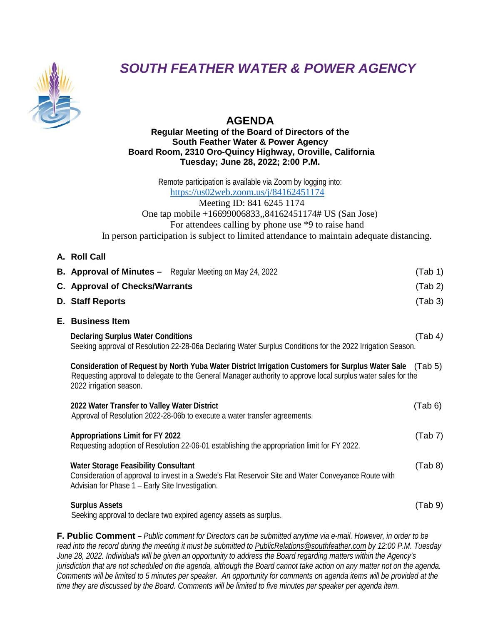

# *SOUTH FEATHER WATER & POWER AGENCY*

# **AGENDA**

# **Regular Meeting of the Board of Directors of the South Feather Water & Power Agency Board Room, 2310 Oro-Quincy Highway, Oroville, California Tuesday; June 28, 2022; 2:00 P.M.**

Remote participation is available via Zoom by logging into: <https://us02web.zoom.us/j/84162451174> Meeting ID: 841 6245 1174 One tap mobile +16699006833,,84162451174# US (San Jose) For attendees calling by phone use \*9 to raise hand In person participation is subject to limited attendance to maintain adequate distancing.

**A. Roll Call**

| <b>B. Approval of Minutes -</b> Regular Meeting on May 24, 2022                                                                                                                                                                                       | (Tab 1) |
|-------------------------------------------------------------------------------------------------------------------------------------------------------------------------------------------------------------------------------------------------------|---------|
| <b>C.</b> Approval of Checks/Warrants                                                                                                                                                                                                                 | (Tab 2) |
| D. Staff Reports                                                                                                                                                                                                                                      | (Tab 3) |
| <b>E.</b> Business Item                                                                                                                                                                                                                               |         |
| <b>Declaring Surplus Water Conditions</b><br>Seeking approval of Resolution 22-28-06a Declaring Water Surplus Conditions for the 2022 Irrigation Season.                                                                                              | (Tab 4) |
| Consideration of Request by North Yuba Water District Irrigation Customers for Surplus Water Sale (Tab 5)<br>Requesting approval to delegate to the General Manager authority to approve local surplus water sales for the<br>2022 irrigation season. |         |
| 2022 Water Transfer to Valley Water District<br>Approval of Resolution 2022-28-06b to execute a water transfer agreements.                                                                                                                            | (Tab 6) |
| <b>Appropriations Limit for FY 2022</b><br>Requesting adoption of Resolution 22-06-01 establishing the appropriation limit for FY 2022.                                                                                                               | (Tab 7) |
| <b>Water Storage Feasibility Consultant</b><br>Consideration of approval to invest in a Swede's Flat Reservoir Site and Water Conveyance Route with<br>Advisian for Phase 1 - Early Site Investigation.                                               | (Tab 8) |
| <b>Surplus Assets</b><br>Seeking approval to declare two expired agency assets as surplus.                                                                                                                                                            | (Tab 9) |
|                                                                                                                                                                                                                                                       |         |

**F. Public Comment** *– Public comment for Directors can be submitted anytime via e-mail. However, in order to be read into the record during the meeting it must be submitted to [PublicRelations@southfeather.com](mailto:PublicRelations@southfeather.com) by 12:00 P.M. Tuesday June 28, 2022. Individuals will be given an opportunity to address the Board regarding matters within the Agency's jurisdiction that are not scheduled on the agenda, although the Board cannot take action on any matter not on the agenda. Comments will be limited to 5 minutes per speaker. An opportunity for comments on agenda items will be provided at the time they are discussed by the Board. Comments will be limited to five minutes per speaker per agenda item.*